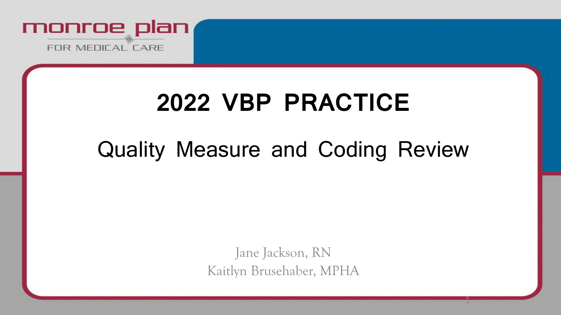

# **2022 VBP PRACTICE**

## Quality Measure and Coding Review

Jane Jackson, RN Kaitlyn Brusehaber, MPHA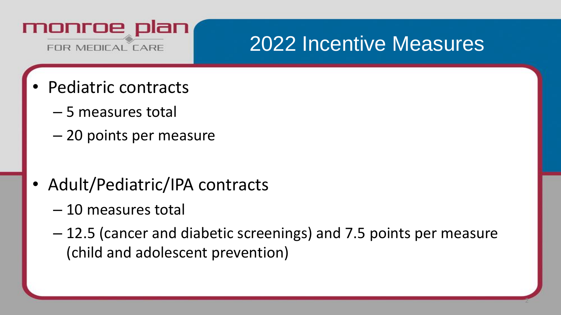

## 2022 Incentive Measures

- Pediatric contracts
	- 5 measures total
	- 20 points per measure
- Adult/Pediatric/IPA contracts
	- 10 measures total
	- 12.5 (cancer and diabetic screenings) and 7.5 points per measure (child and adolescent prevention)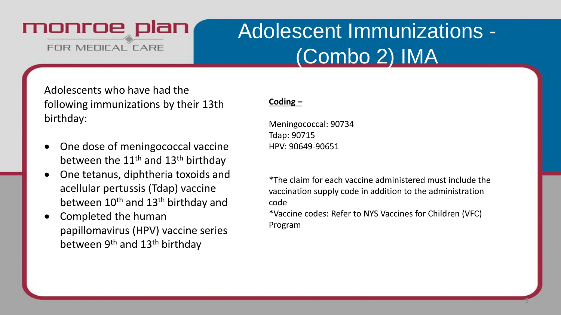## Adolescent Immunizations - (Combo 2) IMA

Adolescents who have had the following immunizations by their 13th birthday:

- One dose of meningococcal vaccine between the  $11<sup>th</sup>$  and  $13<sup>th</sup>$  birthday
- One tetanus, diphtheria toxoids and acellular pertussis (Tdap) vaccine between 10<sup>th</sup> and 13<sup>th</sup> birthday and
- Completed the human papillomavirus (HPV) vaccine series between 9<sup>th</sup> and 13<sup>th</sup> birthday

#### **Coding –**

Meningococcal: 90734 Tdap: 90715 HPV: 90649-90651

\*The claim for each vaccine administered must include the vaccination supply code in addition to the administration code

\*Vaccine codes: Refer to NYS Vaccines for Children (VFC) Program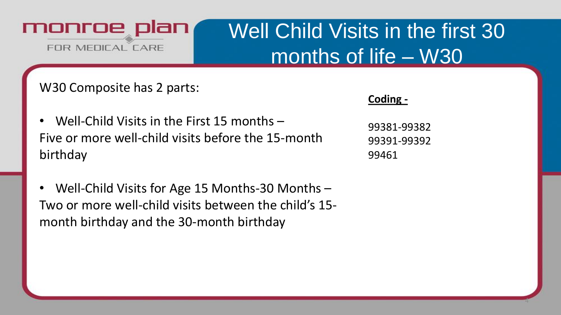## Well Child Visits in the first 30 months of life – W30

W30 Composite has 2 parts:

**Coding -**

- Well-Child Visits in the First 15 months Five or more well-child visits before the 15-month birthday
- Well-Child Visits for Age 15 Months-30 Months Two or more well-child visits between the child's 15 month birthday and the 30-month birthday

99381-99382 99391-99392 99461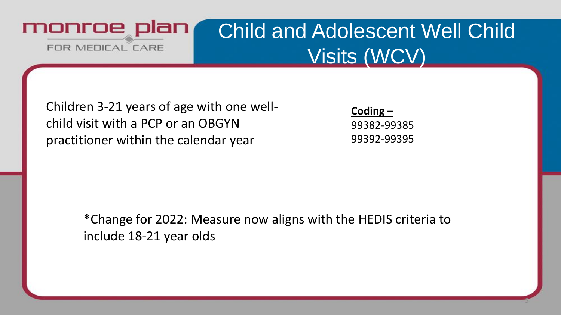

### Child and Adolescent Well Child Visits (WCV)

Children 3-21 years of age with one wellchild visit with a PCP or an OBGYN practitioner within the calendar year

**Coding –** 99382-99385 99392-99395

5

\*Change for 2022: Measure now aligns with the HEDIS criteria to include 18-21 year olds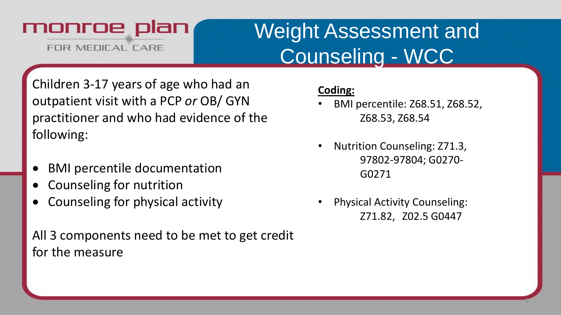## Weight Assessment and Counseling - WCC

Children 3-17 years of age who had an outpatient visit with a PCP *or* OB/ GYN practitioner and who had evidence of the following:

- BMI percentile documentation
- Counseling for nutrition
- Counseling for physical activity

All 3 components need to be met to get credit for the measure

#### **Coding:**

- BMI percentile: Z68.51, Z68.52, Z68.53, Z68.54
- Nutrition Counseling: Z71.3, 97802-97804; G0270- G0271
- Physical Activity Counseling: Z71.82, Z02.5 G0447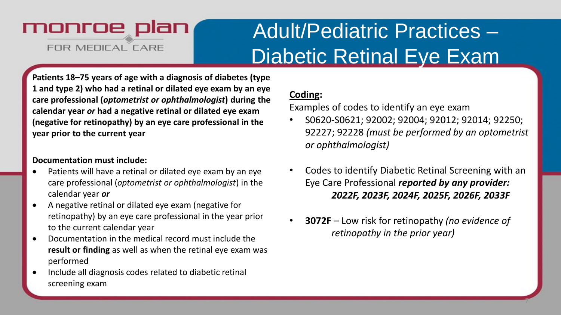## Adult/Pediatric Practices – Diabetic Retinal Eye Exam

**Patients 18–75 years of age with a diagnosis of diabetes (type 1 and type 2) who had a retinal or dilated eye exam by an eye care professional (***optometrist or ophthalmologist***) during the calendar year** *or* **had a negative retinal or dilated eye exam (negative for retinopathy) by an eye care professional in the year prior to the current year**

#### **Documentation must include:**

- Patients will have a retinal or dilated eye exam by an eye care professional (*optometrist or ophthalmologist*) in the calendar year *or*
- A negative retinal or dilated eye exam (negative for retinopathy) by an eye care professional in the year prior to the current calendar year
- Documentation in the medical record must include the **result or finding** as well as when the retinal eye exam was performed
- Include all diagnosis codes related to diabetic retinal screening exam

#### **Coding:**

Examples of codes to identify an eye exam

- S0620-S0621; 92002; 92004; 92012; 92014; 92250; 92227; 92228 *(must be performed by an optometrist or ophthalmologist)*
- Codes to identify Diabetic Retinal Screening with an Eye Care Professional *reported by any provider: 2022F, 2023F, 2024F, 2025F, 2026F, 2033F*
- **3072F** Low risk for retinopathy *(no evidence of retinopathy in the prior year)*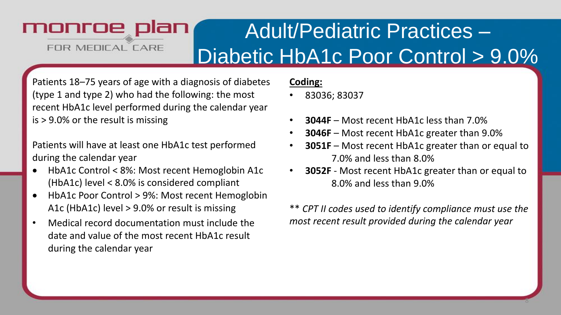#### monroe plan Adult/Pediatric Practices – FOR MEDICAL CARE Diabetic HbA1c Poor Control > 9.0%

Patients 18–75 years of age with a diagnosis of diabetes (type 1 and type 2) who had the following: the most recent HbA1c level performed during the calendar year is > 9.0% or the result is missing

Patients will have at least one HbA1c test performed during the calendar year

- HbA1c Control < 8%: Most recent Hemoglobin A1c (HbA1c) level < 8.0% is considered compliant
- HbA1c Poor Control > 9%: Most recent Hemoglobin A1c (HbA1c) level > 9.0% or result is missing
- Medical record documentation must include the date and value of the most recent HbA1c result during the calendar year

#### **Coding:**

- 83036; 83037
- **3044F** Most recent HbA1c less than 7.0%
- **3046F** Most recent HbA1c greater than 9.0%
- **3051F** Most recent HbA1c greater than or equal to 7.0% and less than 8.0%
- **3052F**  Most recent HbA1c greater than or equal to 8.0% and less than 9.0%

\*\* *CPT II codes used to identify compliance must use the most recent result provided during the calendar year*